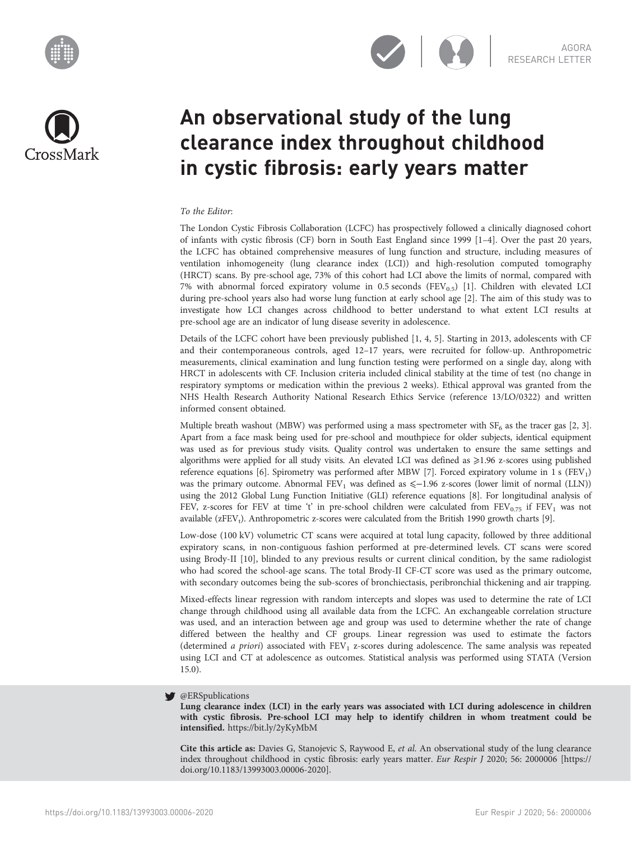





## An observational study of the lung clearance index throughout childhood in cystic fibrosis: early years matter

## To the Editor:

The London Cystic Fibrosis Collaboration (LCFC) has prospectively followed a clinically diagnosed cohort of infants with cystic fibrosis (CF) born in South East England since 1999 [\[1](#page-3-0)–[4\]](#page-3-0). Over the past 20 years, the LCFC has obtained comprehensive measures of lung function and structure, including measures of ventilation inhomogeneity (lung clearance index (LCI)) and high-resolution computed tomography (HRCT) scans. By pre-school age, 73% of this cohort had LCI above the limits of normal, compared with 7% with abnormal forced expiratory volume in 0.5 seconds ( $FEV_{0.5}$ ) [\[1\]](#page-3-0). Children with elevated LCI during pre-school years also had worse lung function at early school age [\[2](#page-3-0)]. The aim of this study was to investigate how LCI changes across childhood to better understand to what extent LCI results at pre-school age are an indicator of lung disease severity in adolescence.

Details of the LCFC cohort have been previously published [[1](#page-3-0), [4](#page-3-0), [5](#page-3-0)]. Starting in 2013, adolescents with CF and their contemporaneous controls, aged 12–17 years, were recruited for follow-up. Anthropometric measurements, clinical examination and lung function testing were performed on a single day, along with HRCT in adolescents with CF. Inclusion criteria included clinical stability at the time of test (no change in respiratory symptoms or medication within the previous 2 weeks). Ethical approval was granted from the NHS Health Research Authority National Research Ethics Service (reference 13/LO/0322) and written informed consent obtained.

Multiple breath washout (MBW) was performed using a mass spectrometer with  $SF<sub>6</sub>$  as the tracer gas [\[2](#page-3-0), [3](#page-3-0)]. Apart from a face mask being used for pre-school and mouthpiece for older subjects, identical equipment was used as for previous study visits. Quality control was undertaken to ensure the same settings and algorithms were applied for all study visits. An elevated LCI was defined as  $\geq 1.96$  z-scores using published reference equations [[6](#page-3-0)]. Spirometry was performed after MBW [\[7](#page-3-0)]. Forced expiratory volume in 1 s ( $FEV<sub>1</sub>$ ) was the primary outcome. Abnormal FEV<sub>1</sub> was defined as  $\leq -1.96$  z-scores (lower limit of normal (LLN)) using the 2012 Global Lung Function Initiative (GLI) reference equations [[8](#page-3-0)]. For longitudinal analysis of FEV, z-scores for FEV at time 't' in pre-school children were calculated from  $FEV_{0.75}$  if  $FEV_1$  was not available ( $zFEV<sub>t</sub>$ ). Anthropometric z-scores were calculated from the British 1990 growth charts [[9\]](#page-3-0).

Low-dose (100 kV) volumetric CT scans were acquired at total lung capacity, followed by three additional expiratory scans, in non-contiguous fashion performed at pre-determined levels. CT scans were scored using Brody-II [[10](#page-3-0)], blinded to any previous results or current clinical condition, by the same radiologist who had scored the school-age scans. The total Brody-II CF-CT score was used as the primary outcome, with secondary outcomes being the sub-scores of bronchiectasis, peribronchial thickening and air trapping.

Mixed-effects linear regression with random intercepts and slopes was used to determine the rate of LCI change through childhood using all available data from the LCFC. An exchangeable correlation structure was used, and an interaction between age and group was used to determine whether the rate of change differed between the healthy and CF groups. Linear regression was used to estimate the factors (determined a priori) associated with  $FEV<sub>1</sub>$  z-scores during adolescence. The same analysis was repeated using LCI and CT at adolescence as outcomes. Statistical analysis was performed using STATA (Version 15.0).

## **W** @ERSpublications

Lung clearance index (LCI) in the early years was associated with LCI during adolescence in children with cystic fibrosis. Pre-school LCI may help to identify children in whom treatment could be intensified. <https://bit.ly/2yKyMbM>

Cite this article as: Davies G, Stanojevic S, Raywood E, et al. An observational study of the lung clearance index throughout childhood in cystic fibrosis: early years matter. Eur Respir J 2020; 56: 2000006 [\[https://](https://doi.org/10.1183/13993003.00006-2020) [doi.org/10.1183/13993003.00006-2020\].](https://doi.org/10.1183/13993003.00006-2020)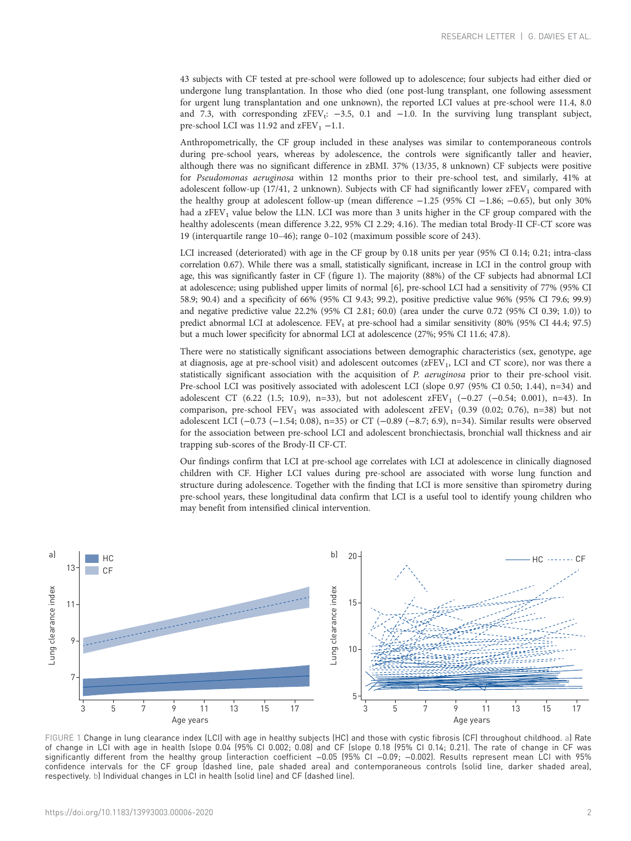43 subjects with CF tested at pre-school were followed up to adolescence; four subjects had either died or undergone lung transplantation. In those who died (one post-lung transplant, one following assessment for urgent lung transplantation and one unknown), the reported LCI values at pre-school were 11.4, 8.0 and 7.3, with corresponding  $zFEV_t$ : -3.5, 0.1 and -1.0. In the surviving lung transplant subject, pre-school LCI was 11.92 and  $zFEV_1 -1.1$ .

Anthropometrically, the CF group included in these analyses was similar to contemporaneous controls during pre-school years, whereas by adolescence, the controls were significantly taller and heavier, although there was no significant difference in zBMI. 37% (13/35, 8 unknown) CF subjects were positive for Pseudomonas aeruginosa within 12 months prior to their pre-school test, and similarly, 41% at adolescent follow-up (17/41, 2 unknown). Subjects with CF had significantly lower  $zFEV<sub>1</sub>$  compared with the healthy group at adolescent follow-up (mean difference −1.25 (95% CI −1.86; −0.65), but only 30% had a zFEV<sub>1</sub> value below the LLN. LCI was more than 3 units higher in the CF group compared with the healthy adolescents (mean difference 3.22, 95% CI 2.29; 4.16). The median total Brody-II CF-CT score was 19 (interquartile range 10–46); range 0–102 (maximum possible score of 243).

LCI increased (deteriorated) with age in the CF group by 0.18 units per year (95% CI 0.14; 0.21; intra-class correlation 0.67). While there was a small, statistically significant, increase in LCI in the control group with age, this was significantly faster in CF (figure 1). The majority (88%) of the CF subjects had abnormal LCI at adolescence; using published upper limits of normal [[6](#page-3-0)], pre-school LCI had a sensitivity of 77% (95% CI 58.9; 90.4) and a specificity of 66% (95% CI 9.43; 99.2), positive predictive value 96% (95% CI 79.6; 99.9) and negative predictive value 22.2% (95% CI 2.81; 60.0) (area under the curve 0.72 (95% CI 0.39; 1.0)) to predict abnormal LCI at adolescence. FEV<sub>t</sub> at pre-school had a similar sensitivity (80% (95% CI 44.4; 97.5) but a much lower specificity for abnormal LCI at adolescence (27%; 95% CI 11.6; 47.8).

There were no statistically significant associations between demographic characteristics (sex, genotype, age at diagnosis, age at pre-school visit) and adolescent outcomes (zFEV<sub>1</sub>, LCI and CT score), nor was there a statistically significant association with the acquisition of P. aeruginosa prior to their pre-school visit. Pre-school LCI was positively associated with adolescent LCI (slope 0.97 (95% CI 0.50; 1.44), n=34) and adolescent CT (6.22 (1.5; 10.9), n=33), but not adolescent zFEV<sub>1</sub> (-0.27 (-0.54; 0.001), n=43). In comparison, pre-school  $FEV_1$  was associated with adolescent  $zFEV_1$  (0.39 (0.02; 0.76), n=38) but not adolescent LCI (−0.73 (−1.54; 0.08), n=35) or CT (−0.89 (−8.7; 6.9), n=34). Similar results were observed for the association between pre-school LCI and adolescent bronchiectasis, bronchial wall thickness and air trapping sub-scores of the Brody-II CF-CT.

Our findings confirm that LCI at pre-school age correlates with LCI at adolescence in clinically diagnosed children with CF. Higher LCI values during pre-school are associated with worse lung function and structure during adolescence. Together with the finding that LCI is more sensitive than spirometry during pre-school years, these longitudinal data confirm that LCI is a useful tool to identify young children who may benefit from intensified clinical intervention.



FIGURE 1 Change in lung clearance index (LCI) with age in healthy subjects (HC) and those with cystic fibrosis (CF) throughout childhood. a) Rate of change in LCI with age in health (slope 0.04 (95% CI 0.002; 0.08) and CF (slope 0.18 (95% CI 0.14; 0.21). The rate of change in CF was significantly different from the healthy group (interaction coefficient -0.05 (95% CI -0.09; -0.002). Results represent mean LCI with 95% confidence intervals for the CF group (dashed line, pale shaded area) and contemporaneous controls (solid line, darker shaded area), respectively. b) Individual changes in LCI in health (solid line) and CF (dashed line).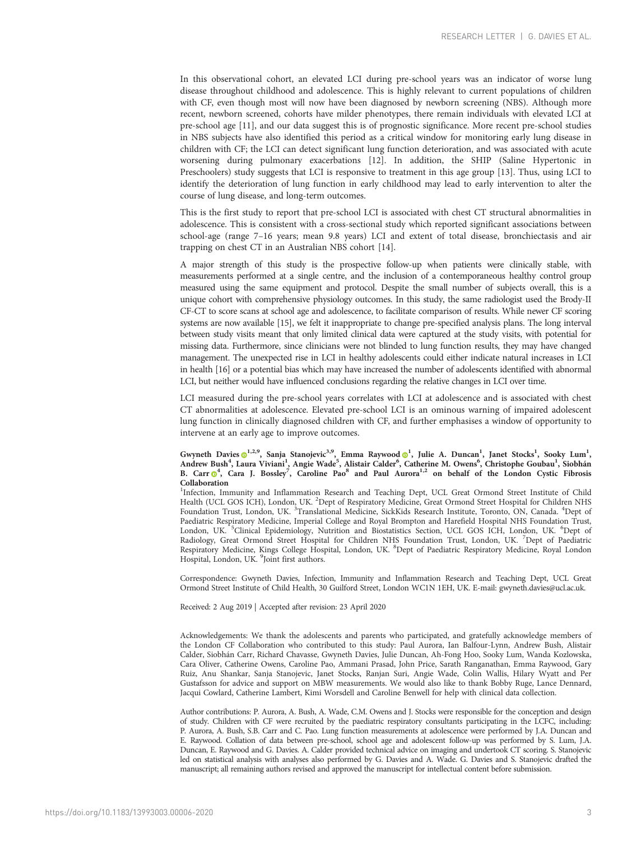In this observational cohort, an elevated LCI during pre-school years was an indicator of worse lung disease throughout childhood and adolescence. This is highly relevant to current populations of children with CF, even though most will now have been diagnosed by newborn screening (NBS). Although more recent, newborn screened, cohorts have milder phenotypes, there remain individuals with elevated LCI at pre-school age [[11](#page-3-0)], and our data suggest this is of prognostic significance. More recent pre-school studies in NBS subjects have also identified this period as a critical window for monitoring early lung disease in children with CF; the LCI can detect significant lung function deterioration, and was associated with acute worsening during pulmonary exacerbations [\[12\]](#page-3-0). In addition, the SHIP (Saline Hypertonic in Preschoolers) study suggests that LCI is responsive to treatment in this age group [[13](#page-3-0)]. Thus, using LCI to identify the deterioration of lung function in early childhood may lead to early intervention to alter the course of lung disease, and long-term outcomes.

This is the first study to report that pre-school LCI is associated with chest CT structural abnormalities in adolescence. This is consistent with a cross-sectional study which reported significant associations between school-age (range 7–16 years; mean 9.8 years) LCI and extent of total disease, bronchiectasis and air trapping on chest CT in an Australian NBS cohort [[14\]](#page-3-0).

A major strength of this study is the prospective follow-up when patients were clinically stable, with measurements performed at a single centre, and the inclusion of a contemporaneous healthy control group measured using the same equipment and protocol. Despite the small number of subjects overall, this is a unique cohort with comprehensive physiology outcomes. In this study, the same radiologist used the Brody-II CF-CT to score scans at school age and adolescence, to facilitate comparison of results. While newer CF scoring systems are now available [\[15\]](#page-3-0), we felt it inappropriate to change pre-specified analysis plans. The long interval between study visits meant that only limited clinical data were captured at the study visits, with potential for missing data. Furthermore, since clinicians were not blinded to lung function results, they may have changed management. The unexpected rise in LCI in healthy adolescents could either indicate natural increases in LCI in health [\[16\]](#page-3-0) or a potential bias which may have increased the number of adolescents identified with abnormal LCI, but neither would have influenced conclusions regarding the relative changes in LCI over time.

LCI measured during the pre-school years correlates with LCI at adolescence and is associated with chest CT abnormalities at adolescence. Elevated pre-school LCI is an ominous warning of impaired adolescent lung function in clinically diagnosed children with CF, and further emphasises a window of opportunity to intervene at an early age to improve outcomes.

Gwyneth Davies (b<sup>1,2,9</sup>, Sanja Stanojevic<sup>3,9</sup>, Emma Raywood (b<sup>1</sup>, Julie A. Duncan<sup>1</sup>, Janet Stocks<sup>1</sup>, Sooky Lum<sup>1</sup>, Andrew Bush<sup>4</sup>, Laura Viviani<sup>1</sup>, Angie Wade<sup>5</sup>, Alistair Calder<sup>6</sup>, Catherine M. Owens<sup>6</sup>, Christophe Collaboration

<sup>1</sup>Infection, Immunity and Inflammation Research and Teaching Dept, UCL Great Ormond Street Institute of Child Health (UCL GOS ICH), London, UK. <sup>2</sup>Dept of Respiratory Medicine, Great Ormond Street Hospital for Children NHS Foundation Trust, London, UK. <sup>3</sup>Translational Medicine, SickKids Research Institute, Toronto, ON, Canada. <sup>4</sup>Dept of Paediatric Respiratory Medicine, Imperial College and Royal Brompton and Harefield Hospital NHS Foundation Trust, London, UK. <sup>5</sup>Clinical Epidemiology, Nutrition and Biostatistics Section, UCL GOS ICH, London, UK. <sup>6</sup>Dept of Radiology, Great Ormond Street Hospital for Children NHS Foundation Trust, London, UK. <sup>7</sup>Dept of Paediatric Respiratory Medicine, Kings College Hospital, London, UK. <sup>8</sup>Dept of Paediatric Respiratory Medicine, Royal London<br>Hospital, London, UK. <sup>9</sup>Joint first authors.

Correspondence: Gwyneth Davies, Infection, Immunity and Inflammation Research and Teaching Dept, UCL Great Ormond Street Institute of Child Health, 30 Guilford Street, London WC1N 1EH, UK. E-mail: [gwyneth.davies@ucl.ac.uk](mailto:gwyneth.davies@ucl.ac.uk).

Received: 2 Aug 2019 | Accepted after revision: 23 April 2020

Acknowledgements: We thank the adolescents and parents who participated, and gratefully acknowledge members of the London CF Collaboration who contributed to this study: Paul Aurora, Ian Balfour-Lynn, Andrew Bush, Alistair Calder, Siobhán Carr, Richard Chavasse, Gwyneth Davies, Julie Duncan, Ah-Fong Hoo, Sooky Lum, Wanda Kozlowska, Cara Oliver, Catherine Owens, Caroline Pao, Ammani Prasad, John Price, Sarath Ranganathan, Emma Raywood, Gary Ruiz, Anu Shankar, Sanja Stanojevic, Janet Stocks, Ranjan Suri, Angie Wade, Colin Wallis, Hilary Wyatt and Per Gustafsson for advice and support on MBW measurements. We would also like to thank Bobby Ruge, Lance Dennard, Jacqui Cowlard, Catherine Lambert, Kimi Worsdell and Caroline Benwell for help with clinical data collection.

Author contributions: P. Aurora, A. Bush, A. Wade, C.M. Owens and J. Stocks were responsible for the conception and design of study. Children with CF were recruited by the paediatric respiratory consultants participating in the LCFC, including: P. Aurora, A. Bush, S.B. Carr and C. Pao. Lung function measurements at adolescence were performed by J.A. Duncan and E. Raywood. Collation of data between pre-school, school age and adolescent follow-up was performed by S. Lum, J.A. Duncan, E. Raywood and G. Davies. A. Calder provided technical advice on imaging and undertook CT scoring. S. Stanojevic led on statistical analysis with analyses also performed by G. Davies and A. Wade. G. Davies and S. Stanojevic drafted the manuscript; all remaining authors revised and approved the manuscript for intellectual content before submission.